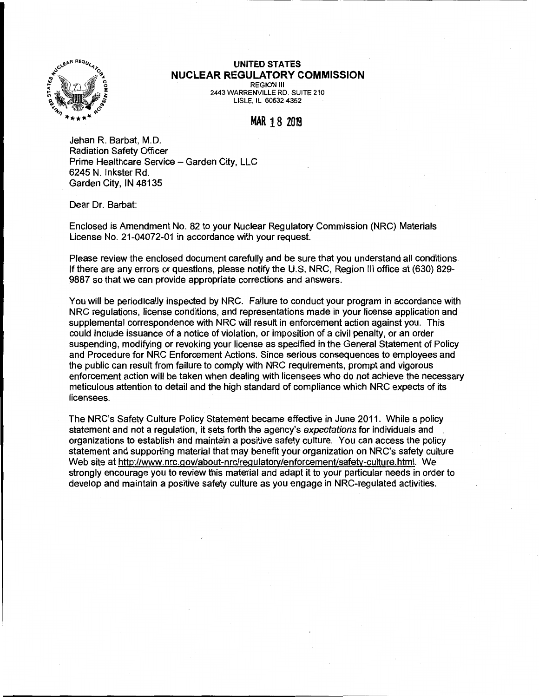

## **UNITED STATES NUCLEAR REGULATORY COMMISSION**  REGION Ill 2443 WARRENVILLE RD. SUITE 210

LISLE, IL 60532-4352

## **MAR** 18 2019

Jehan R. Barbat, M.D. Radiation Safety Officer Prime Healthcare Service - Garden City, LLC 6245 N. Inkster Rd. Garden City, IN 48135

Dear Dr. Barbat:

Enclosed is Amendment No. 82 to your Nuclear Regulatory Commission (NRC) Materials License No. 21-04072-01 in accordance with your request.

Please review the enclosed document carefully and be sure that you understand all conditions. If there are any errors or questions, please notify the U.S. NRC, Region Ill office at (630) 829- 9887 so that we can provide appropriate corrections and answers.

You will be periodically inspected by NRC. Failure to conduct your program in accordance with NRC regulations, license conditions, and representations made in your license application and supplemental correspondence with NRC will result in enforcement action against you. This could include issuance of a notice of violation, or imposition of a civil penalty, or an order suspending, modifying or revoking your license as specified in the General Statement of Policy and Procedure for NRC Enforcement Actions. Since serious consequences to employees and the public can result from failure to comply with NRC requirements, prompt and vigorous enforcement action will be taken when dealing with licensees who do not achieve the necessary meticulous attention to detail and the high standard of compliance which NRC expects of its licensees.

The NRC's Safety Culture Policy Statement became effective in June 2011. While a policy statement and not a regulation, it sets forth the agency's expectations for individuals and organizations to establish and maintain a positive safety culture. You can access the policy statement and supporting material that may benefit your organization on NRC's safety culture Web site at http://www.nrc.gov/about-nrc/regulatory/enforcement/safety-culture.html. We strongly encourage you to review this material and adapt it to your particular needs in order to develop and maintain a positive safety culture as you engage in NRG-regulated activities.